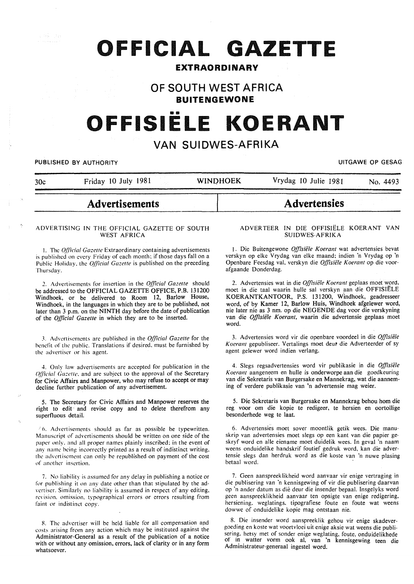# **OFFICIAL GAZETTE**

# **EXTRAORDINARY**

# **OF SOUTH WEST AFRICA BUITENGEWONE**

# .... **OFFISIELE KOERANT**

# **VAN SUIDWES-AFRIKA**

#### PUBLISHED BY AUTHORITY **EXECUTE A SECURE 2018 THE SECULAR SECURE 2019 THE SECURE 2019 THE SECURE 2019**

30c Friday 10 July 1981 WINDHOEK Vrydag 10 Julie 1981 No. 4493

# **Advertisements**

#### ADVERTISING IN THE OFFICIAL GAZETTE OF SOUTH WEST AFRICA

1. The *Official Gazette* Extraordinary containing advertisements is published on every Friday of each month; if those days fall on a Public Holiday, the *Official Gazette* is published on the preceding Thursday.

*2.* Advertisements for insertion in the *Official Gazelle* should be addressed to the OFFICIAL GAZETTE OFFICE, P.B. 131200 Windhoek, or be delivered to Room 12, Barlow House, Windhoek, in the languages in which they are to be published, not later than 3 p.m. on the NINTH day before the date of publication of the *Official Gazette* in which they are to be inserted.

J. Advertisements arc published in the *Official Gazette* for the benefit of the public. Translations if desired, must be furnished by the advertiser or his agent.

4. Only law advertisements are accepted for publication in the *Qfficial Gazette*, and are subject to the approval of the Secretary for Civic Affairs and Manpower, who may refuse to accept or may decline further publication of any advertisement.

5. The Secretary for Civic Affairs and Manpower reserves the right to edit and revise copy and to delete therefrom any superfluous detail.

 $/6$ . Advertisements should as far as possible be typewritten. Manuscript of advertisements should be written on one side of the paper only. and all proper names plainly inscribed: in the event of any name being incorrectly printed as a result of indistinct writing. the advertisement can only be republished on payment of the cost of another insertion.

7. No liability is assumed for any delay in publishing a notice or for publishing it on any date other than that stipulated by the ad vertiser. Similarly no liability is assumed in respect of any editing. revision. omission. typographical errors or errors resulting from faint or indistinct copy.

8. The advertiser will be held liable for all compensation and costs arising from any action which may be instituted against the Administrator-General as a result of the publication of a notice with or without any omission, errors, lack of clarity or in any form whatsoever.

#### ADVER TEER IN DIE OFFISIELE KOERANT VAN SUIDWES-AFRIKA

**Advertensies** 

1. Die Buitengewone *Offisiele Koerant* wat advertensies bevat verskyn op elke Vrydag van elke maand; indien 'n Vrydag op 'n Openbare Feesdag val. verskyn die *Offisiele Koerant* op die voorafgaande Donderdag.

2. Advertensies wat in die *Offisiele Koerant* geplaas moet word. moet in die taal waarin hulle sal verskyn aan die OFFISIELE KOERANTKANTOOR, P.S. 131200, Windhoek, geadresseer word, of by Kamer 12, Barlow Huis, Windhoek afgelewer word, nie later nie as 3 nm. op die NEGENDE dag voor die verskyning van die Offisiële Koerant, waarin die advertensie geplaas moet word.

3. Advertensies word vir die openbare voordeel in die *Offisiiile*  Koerant gepubliseer. Vertalings moet deur die Adverteerder of sy agent gelewer word indien verlang.

4. Slegs regsadvertensies word vir publikasie in die *Offisiele Koerant* aangeneem en hulle is onderworpe aan die goedkeuring van die Sekretaris van Burgersake en Mannekrag, wat die aanneming of verdere publikasie van 'n advertensie mag weier.

5. Die Sekretaris van Burgersake en Mannekrag behou hom die reg voor om die kopie te redigeer, te hersien en oortollige besonderhede weg te laat.

6. Advertensies moet sover moontlik getik wees. Die manuskrip van advertensies moet slegs op een kant van die papier geskryf word en aile eiename moet duidelik wees. In geval 'n naam weens onduidelike handskrif foutief gedruk word, kan die advertensie slegs dan herdruk word as die koste van 'n nuwe plasing betaal word.

7. Geen aanspreeklikheid word aanvaar vir enige vertraging in die publisering van 'n kennisgewing of vir die publisering daarvan op ·n ander datum as die deur die insender bepaal. lnsgelyks word geen aanspreeklikheid aanvaar ten opsigte van enige redigering. hersiening. weglatings, tipografiese foute en foute wat weens dowwe of onduidelike kopie mag ontstaan nie.

8. Die insender word aanspreeklik gehou vir enige skadevergoeding en koste wat voortvloei uit enige aksie wat weens die publisering. hetsy met of sonder enige weglating, foute, onduidelikhede or in watter vorm ook al, van 'n kennisgewing teen die Administrateur-generaal ingestel word.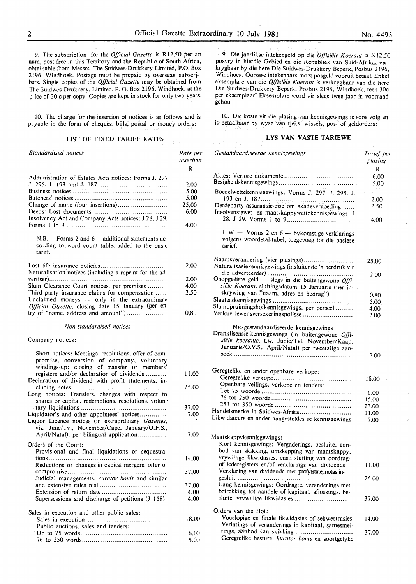9. The subscription for the *Official Gazette* is RJ2,50 per annum, post free in this Territory and the Republic of South Africa, obtainable from Messrs. The Suidwes-Drukkery Limited, P.O. Box 2196, Windhoek. Postage must be prepaid by overseas subscribers. Single copies of the *Official Gazette* may be obtained from The 3uidwes-Drukkery, Limited, P. 0. Box 2196, Windhoek, at the p• ice of 30 c per copy. Copies are kept in stock for only two years.

I 0. The charge for the insertion of notices is as follows and is pt yable in the form of cheques, bills, postal or money orders:

#### LIST OF FIXED TARIFF RATES

| Standardised notices                                                                                                                                                                                                                                 | Rate per<br>insertion |
|------------------------------------------------------------------------------------------------------------------------------------------------------------------------------------------------------------------------------------------------------|-----------------------|
|                                                                                                                                                                                                                                                      | R                     |
| Administration of Estates Acts notices: Forms J. 297                                                                                                                                                                                                 |                       |
|                                                                                                                                                                                                                                                      | 2.00                  |
|                                                                                                                                                                                                                                                      | 5,00                  |
|                                                                                                                                                                                                                                                      | 5,00                  |
| Change of name (four insertions)                                                                                                                                                                                                                     | 25,00                 |
|                                                                                                                                                                                                                                                      | 6,00                  |
|                                                                                                                                                                                                                                                      |                       |
| Insolvency Act and Company Acts notices: J 28, J 29,                                                                                                                                                                                                 |                       |
|                                                                                                                                                                                                                                                      | 4,00                  |
| N.B. - Forms 2 and 6 - additional statements ac-<br>cording to word count table, added to the basic<br>tariff.                                                                                                                                       |                       |
|                                                                                                                                                                                                                                                      | 2,00                  |
| Naturalisation notices (including a reprint for the ad-                                                                                                                                                                                              |                       |
|                                                                                                                                                                                                                                                      |                       |
|                                                                                                                                                                                                                                                      | 2.00                  |
| Slum Clearance Court notices, per premises                                                                                                                                                                                                           | 4,00                  |
| Third party insurance claims for compensation<br>Unclaimed moneys - only in the extraordinary<br>Official Gazette, closing date 15 January (per en-                                                                                                  | 2,50                  |
| try of "name, address and amount")                                                                                                                                                                                                                   | 0.80                  |
| Non-standardised notices                                                                                                                                                                                                                             |                       |
| Company notices:                                                                                                                                                                                                                                     |                       |
| Short notices: Meetings, resolutions, offer of com-<br>promise, conversion of company, voluntary<br>windings-up; closing of transfer or members'<br>registers and/or declaration of dividends<br>Declaration of dividend with profit statements, in- | 11,00                 |
| Long notices: Transfers, changes with respect to                                                                                                                                                                                                     | 25,00                 |
| shares or capital, redemptions, resolutions, volun-                                                                                                                                                                                                  |                       |
|                                                                                                                                                                                                                                                      | 37,00                 |
| Liquidator's and other appointees' notices<br>Liquor Licence notices (in extraordinary Gazettes,<br>viz. June/Tvl, November/Cape, January/O.F.S.,                                                                                                    | 7.00                  |
| April/Natal), per bilingual application                                                                                                                                                                                                              | 7.00                  |
|                                                                                                                                                                                                                                                      |                       |
| Orders of the Court:                                                                                                                                                                                                                                 |                       |
| Provisional and final liquidations or sequestra-                                                                                                                                                                                                     |                       |
|                                                                                                                                                                                                                                                      | 14,00                 |
| Reductions or changes in capital mergers, offer of                                                                                                                                                                                                   |                       |
|                                                                                                                                                                                                                                                      | 37,00                 |
| Judicial managements, curator bonis and similar                                                                                                                                                                                                      |                       |
|                                                                                                                                                                                                                                                      |                       |
|                                                                                                                                                                                                                                                      | 37,00                 |
|                                                                                                                                                                                                                                                      | 4,00                  |
| Supersessions and discharge of petitions (J 158)                                                                                                                                                                                                     | 4,00                  |
| Sales in execution and other public sales:                                                                                                                                                                                                           |                       |
|                                                                                                                                                                                                                                                      | 18,00                 |
| Public auctions, sales and tenders:                                                                                                                                                                                                                  |                       |
|                                                                                                                                                                                                                                                      | 6,00                  |
|                                                                                                                                                                                                                                                      | 15,00                 |
|                                                                                                                                                                                                                                                      |                       |

9. Die jaarlikse intekengeld op die *Offisiele Koerant* is R 12.50 posvry in hierdie Gebied en die Republiek van Suid-Afrika, verkrygbaar by die here Die Suidwes-Drukkery Beperk, Posbus 2196, Windhoek. Oorsese intekenaars moet posgeld vooruit betaal. Enkel eksemplare van die *Offisiële Koerant* is verkrygbaar van die here Die Suidwes-Drukkery Beperk, Posbus 2196, Windhoek, teen 30c per eksemplaar: Eksemplare word vir slegs twee jaar in voorraad gehou.

10. Die koste vir die plasing van kennisgewings is soos volg en is betaalbaar by wyse van tjeks, wissels, pos- of geldorders:

# LYS VAN VASTE TARIEWE

| Gestandaardiseerde kennisgewings                                                                                                                                                                  | Tarief per<br>plasing |
|---------------------------------------------------------------------------------------------------------------------------------------------------------------------------------------------------|-----------------------|
|                                                                                                                                                                                                   | R                     |
|                                                                                                                                                                                                   | 6.00<br>5.00          |
| Boedelwettekennisgewings: Vorms J. 297, J. 295, J.                                                                                                                                                | 2.00                  |
| Derdeparty-assuransie-eise om skadevergoeding<br>Insolvensiewet- en maatskappywettekennisgewings: J                                                                                               | 2.50<br>4.00          |
|                                                                                                                                                                                                   |                       |
| L.W. - Vorms 2 en 6 - bykomstige verklarings<br>volgens woordetal-tabel, toegevoeg tot die basiese<br>tarief.                                                                                     |                       |
| Naamsverandering (vier plasings)<br>Naturalisasiekennisgewings (insluitende 'n herdruk vir                                                                                                        | 25.00                 |
| Onopgeëiste geld - slegs in die buitengewone $Off$ .                                                                                                                                              | 2.00                  |
| siële Koerant, sluitingsdatum 15 Januarie (per in-                                                                                                                                                |                       |
| skrywing van "naam, adres en bedrag")                                                                                                                                                             | 0.80                  |
|                                                                                                                                                                                                   | 5,00                  |
| Slumopruimingshofkennisgewings, per perseel                                                                                                                                                       | 4,00                  |
| Verlore lewensversekeringspolisse                                                                                                                                                                 | 2.00                  |
| Nie-gestandaardiseerde kennisgewings<br>Dranklisensie-kennisgewings (in buitengewone Offi-<br>siële koerante, t.w. Junie/Tvl. November/Kaap,<br>Januarie/O.V.S., April/Natal) per tweetalige aan- | 7.00                  |
|                                                                                                                                                                                                   |                       |
| Geregtelike en ander openbare verkope:                                                                                                                                                            |                       |
|                                                                                                                                                                                                   | 18,00                 |
| Openbare veilings, verkope en tenders:                                                                                                                                                            |                       |
|                                                                                                                                                                                                   | 6.00                  |
|                                                                                                                                                                                                   | 15.00                 |
|                                                                                                                                                                                                   | 23,00                 |
| Handelsmerke in Suidwes-Afrika                                                                                                                                                                    | 11.00                 |
| Likwidateurs en ander aangesteldes se kennisgewings                                                                                                                                               | 7.00                  |
| Maatskappykennisgewings:<br>Kort kennisgewings: Vergaderings, besluite, aan-<br>bod van skikking, omskepping van maatskappy,                                                                      |                       |
| vrywillige likwidasies, ens.; sluiting van oordrag-                                                                                                                                               |                       |
| of lederegisters en/of verklarings van dividende<br>Verklaring van dividende met profytstate, notas in-                                                                                           | 11,00                 |
| Lang kennisgewings: Oordragte, veranderings met<br>betrekking tot aandele of kapitaal, aflossings, be-                                                                                            | 25,00                 |
| sluite, vrywillige likwidasies                                                                                                                                                                    | 37,00                 |
| Orders van die Hof:                                                                                                                                                                               |                       |
| Voorlopige en finale likwidasies of sekwestrasies<br>Verlatings of veranderings in kapitaal, samesmel-                                                                                            | 14.00                 |
| tings, aanbod van skikking<br>Geregtelike besture, kurator bonis en soortgelyke                                                                                                                   | 37.00                 |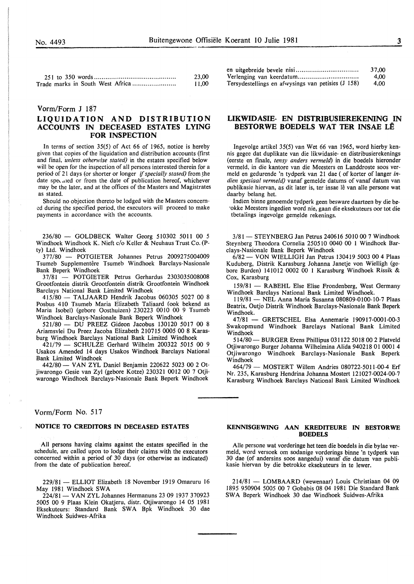|                                  | 23.00 |
|----------------------------------|-------|
| Trade marks in South West Africa | 11,00 |

#### Vorm/Form J 187

# LIQUIDATION AND DISTRIBUTION ACCOUNTS IN DECEASED ESTATES LYING FOR INSPECTION

In terms of section 35(5) of Act 66 of 1965, notice is hereby given that copies of the liquidation and distribution accounts (first and final, *'unless otherwise stated)* in the estates specified below will be open for the inspection of all persons interested therein for a period of 21 days (or shorter or longer *if specially stated)* from the date specialed or from the date of publication hereof, whichever may be the later, and at the offices of the Masters and Magistrates as stated.

Should no objection thereto be lodged with the Masters concerned during the specified period, the executors will proceed to make payments in accordance with the accounts.

236/80 - GOLDBECK Walter Georg 510302 50ll 00 5 Windhoek Windhoek K. Nieft c/o Keller & Neuhaus Trust Co. (Pty) Ltd. Windhoek

377/80 - POTGIETER Johannes Petrus 2009275004009 Tsumeb Supplementêre Tsumeb Windhoek Barclays-Nasionale Bank Beperk Windhoek

37/81 - POTGIETER Petrus Gerhardus 2303035008008 Grootfontein distrik Grootfontein distrik Grootfontein Windhoek Barclays National Bank Limited Windhoek

415/80- TAUAARD Hendrik Jacobus 060305 5027 00 8 Posbus 410 Tsumeb Maria Elizabeth Taliaard (ook bekend as Maria Isobel) (gebore Oosthuizen) 230223 0010 00 9 Tsumeb Windhoek Bardays-Nasionale Bank Beperk Windhoek

521/80 - DU PREEZ Gideon Jacobus 130120 5017 00 8 Ariamsvlei Du Preez Jacoba Elizabeth 210715 0005 00 8 Karasburg Windhoek Barclays National Bank Limited Windhoek

421/79 - SCHULZE Gerhard Wilhelm 200322 5015 00 9 Usakos Amended 14 days Usakos Windhoek Barclays National Bank Limited Windhoek

442/80- VAN ZYL Daniel Benjamin 220622 5023 00 2 Otjiwarongo Gesie van Zyl (gebore Kotze) 230321 0012 00 7 Otjiwarongo Windhoek Barclays-Nasionale Bank Beperk Windhoek

## Vorm/Form No. 517

# NOTICE TO CREDITORS IN DECEASED ESTATES

All persons having claims against the estates specified in the schedule, are called upon to lodge their claims with the executors concerned within a period of 30 days (or otherwise as indicated) from the date of publication hereof.

229/81 - ELLIOT Elizabeth 18 November 1919 Omaruru 16 May 1981 Windhoek SWA

224/81- VAN ZYL Johannes Hermanuns 23 09 1937 370923 5005 00 9 Plaas Klein Okatjeru, distr. Otjiwarongo 14 05 1981 Eksekuteurs: Standard Bank SWA Bpk Windhoek 30 dae Windhoek Suidwes-Afrika

|                                                    | 37.00 |
|----------------------------------------------------|-------|
|                                                    | 4.00  |
| Tersydestellings en afwysings van petisies (J 158) | 4.00  |

## LIKWIDASIE- EN DISTRIBUSffiREKENING IN BESTORWE BOEDELS WAT TER INSAE LE

Ingevolge artikel 35(5) van Wet 66 van 1965, word hierby kennis gegee dat duplikate van die likwidasie- en distribusierekenings (eerste en finale, *tensy anders vermeld)* in die boedels hieronder vermeld, in die kantore van die Meesters en Landdroste soos vermeld en gedurende 'n tydperk van 21 dae (of korter of Ianger *indien spesiaal vermeld)* vanaf gemelde datums of vanaf datum van publikasie hiervan, as dit later is, ter insae lê van alle persone wat daarby belang het.

Indien binne genoemde tydperk geen besware daarteen by die be- ·okke Meesters ingedien word nie, gaan die eksekuteurs oor tot die tbetalings ingevolge gemelde rekenings.

3/81- STEYNBERG Jan Petrus 240616 5010 00 7 Windhoek Steynberg Theodora Cornelia 250510 0040 00 I Windhoek Barclays-Nasionale Bank Beperk Windhoek

 $6/82$  - VON WIELLIGH Jan Petrus 130419 5003 00 4 Plaas Kuduberg, Distrik Karasburg Johanna Janetje von Wielligh (gebore Burden) 141012 0002 00 l Karasburg Windhoek Rissik & Cox, Karasburg

159/81 - RABEHL Else Elise Frondenberg, West Germany Windhoek Barclays National Bank Limited Windhoek.

119/81 - NEL Anna Maria Susanna 080809-0100-10-7 Plaas Beatrix, Outjo Distrik Windhoek Barclays-Nasionale Bank Beperk Windhoek.

47/81 - GRETSCHEL Elsa Annemarie 190917-0001-00-3 Swakopmund Windhoek Barclays National Bank Limited Windhoek

514/80- BURGER Erens Phillipus 031122 5018 00 2 Platveld Otjiwarongo Burger Johanna Wilhelmina Alida 940218 01 0001 4 Otjiwarongo Windhoek Barclays-Nasionale Bank Beperk Windhoek

464/79- MOSTERT Willem Andries 080722-5011-00-4 Erf Nr. 235, Karasburg Hendrina Johanna Mostert 121027-0024-00-7 Karasburg Windhoek Barclays National Bank Limited Windhoek

#### KENNISGEWING AAN KREDITEURE IN BESTORWE BOEDELS

Aile persone wat vorderinge het teen die boedels in die bylae vermeld, word versoek om sodanige vorderings binne 'n tydperk van 30 dae (of andersins soos aangedui) vanaf die datum van publikasie hiervan by die betrokke eksekuteurs in te lewer.

214/81 - LOMBAARD (wewenaar) Louis Christiaan 04 09 1895 950904 5005 00 7 Gobabis 08 04 1981 Die Standard Bank SW A Beperk Windhoek 30 dae Windhoek Suidwes-Afrika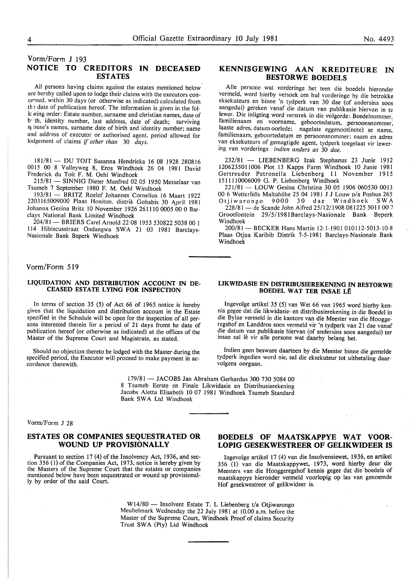# Vorm/Form J 193 NOTICE TO CREDITORS IN DECEASED

All persons having claims against the estates mentioned below are hereby called upon to lodge their claims with the executors concerned, within 30 days (or otherwise as indicated) calculated from the date of publication hereof. The information is given in the fol-Ic wing order: Estate number, surname and christian names, date of b· th, identity number, last address, date of death; surviving s1 ouse's names, surname date of birth and identity number; name and address of executor or authorised agent, period allowed for lodgement of claims if *other than* 30 *days.* 

ESTATES

181/81- DU TOIT Susanna Hendrieka 16 08 I928 280816 0015 00 8 Valleyweg 8, Eros Windhoek 26 04 1981 David Frederick du Toit F. M. Oehl Windhoek

215/81 - SINNIG Dieter Manfred 02 05 1950 Messelaar van Tsumeb 7 September 1980 F. M. Oehl Windhoek

193/81 - BRITZ Roelof Johannes Cornelius 16 Maart 1922 2203165009000 Plaas Honiton, distrik Gobabis 30 April 1981 Johanna Gezina Britz 10 November 1926 261110 0005 00 0 Barclays National Bank Limited Windhoek

204/81- BRIERS Carel Arnold 22 08 1953 530822 5038 00 1 114 Hibiscusstraat Ondangwa SWA 21 03 1981 Barclays-Nasionale Bank Beperk Windhoek

# Vorm/Form 519

### LIQUIDATION AND DISTRIBUTION ACCOUNT IN DE-CEASED ESTATE LYING FOR INSPECTION

In terms of section 35 (5) of Act 66 of 1965 notice is hereby given that the liquidation and distribution account in the Estate specified in the Schedule will be open for the inspection of all persons interested therein for a period of 21 days fromt he date of publication hereof (or otherwise as indicated) at the offices of the Master of the Supreme Court and Magistrate, as stated.

Should no objection thereto be lodged with the Master during the specified period, the Executor will proceed to make payment in ac- cordance therewith.

## KENNISGEWING AAN KREDITEURE IN BESTORWE BOEDELS

Aile persone wat vorderinge het teen die boedels hieronder vermeld, word hierby versoek om hul vorderinge by die betrokke eksekuteurs en binne 'n tydperk van 30 dae (of andersins soos aangedui) gereken vanaf die datum van publikasie hiervan in te lewer. Die inligting word verstrek in die volgorde: Boedelnommer, familienaam en voorname, geboortedatum, persoonsnommer; laaste adres, datum oorlede; nagelate eggenoot(note) se name, familienaam, geboortedatum en persoonsnommer; naam en adres van eksekuteurs of gemagtigde agent, tydperk toegelaat vir lewering van vorderings *indien anders as* 30 *dae.* 

232/81 - LIESENBERG Izak Stephanus 23 Junie 1912 l2062350ll006 Plot 13 Kapps Farm Windhoek 10 Junie 1981 Gertreuder Petronella Liebenberg 11 November 1915 IS I I I 10006009 G. P. Liebenberg Windhoek

221/81- LOUW Gesina Christina 30 05 1906 060530 0013 00 6 Wetterfells Maltahöhe 25 04 1981 J J Louw p/a Posbus 265 Otjiwarongo 9000 30 dae Windhoek SWA

228/81 - de Scande John Alfred 25/12/1908 081225 5011 00 7 Grootfontein 29/5/1981Barclays-Nasionale Bank Beperk Windhoek

200/81- BECKER Hans Martin 12-1-1901 010112-5013-10-8 Plaas Otjua Karibib Distrik 7-5-198I Barclays-Nasionale Bank Windhoek

#### LIKWIDASIE EN DISTRIBUSIEREKENING IN BESTORWE BOEDEL WAT TER INSAE LE

lngevolge artikel 35 (5) van Wet 66 van 1965 word hierby kennis gegee dat die Iikwidasie- en distribusierekening in die Boedel in die Bylae vermeld in die kantore van die Meester van die Hooggeregshof en Landdros soos vermeld vir 'n tydperk van 21 dae vanaf die datum van publikasie hiervan (of andersins soos aangedui) ter insae sal lê vir alle persone wat daarby belang het.

Indien geen besware daarteen by die Meester binne die gemelde tydperk ingedien word nie, sal die eksekuteur tot uitbetaling daarvolgens oorgaan.

179/81 - JACOBS Jan Abraham Gerhardus 300 730 5084 00 8 Tsumeb Eerste en Finale Likwidasie en Distribusierekening Jacobs Aletta Elisabeth 10 07 1981 Windhoek Tsumeb Standard Bank SWA Ltd Windhoek

Vorm/Form J 28

## ESTATES OR COMPANIES SEQUESTRATED OR WOUND UP PROVISIONALLY

Pursuant to section 17 (4) of the Insolvency Act, 1936, and section 356 (1) of the Companies Act, 1973, notice is hereby given by the Masters of the Supreme Court that the estates or companies mentioned below have been sequestrated or wound up provisionally by order of the said Court.

# BOEDELS OF MAATSKAPPYE WAT VOOR-LOPIG GESEKWESTREER OF GELIKWIDEER IS

Ingevolge artikel 17 (4) van die Insolvensiewet, 1936, en artikel 356 (1) van die Maatskappywet, 1973, word hierby deur die Meesters van die Hooggeregshof kennis gegee dat die boedels of maatskappye hieronder vermeld voorlopig op las van genoemde Hof gesekwestreer of gelikwideer is.

W14/80 - Insolvent Estate T. L Liebenberg t/a Otjiwarongo Meubelmark Wednesday the 22 July 198 I at 10.00 a.m. before the Master of the Supreme Court, Windhoek Proof of claims Security Trust SWA (Pty) Ltd Windhoek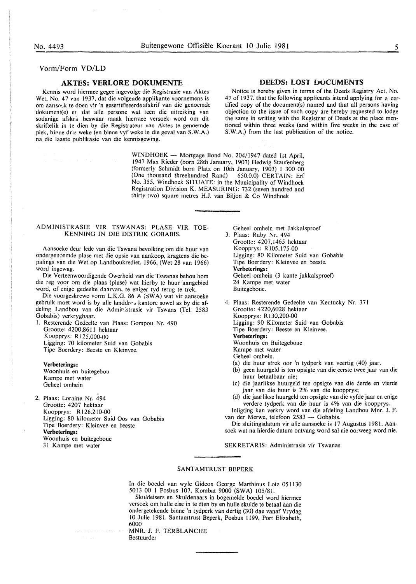## Vorm/Form **VD/LD**

## **AKTES: VERLORE DOKUMENTE**

Kennis word hiermee gegee ingevolge die Registrasie van Aktes Wet. No. 47 van 1937, dat die volgende applikante voornemens is om aanso $\epsilon$ k te doen vir 'n gesertifiseerde afskrif van die genoemde dokumcnt(e) er dat aile persone wal teen die uitreiking van sodanige afskr;i beswaar maak hiermee versoek word om dit skriftelik in te dien by die Registrateur van Aktes te genoemde plek, binne drie weke (en binne vyf weke in die geval van S.W.A.) na die laaste publikasie van die kennisgewing.

> WINDHOEK - Mortgage Bond No. 204/1947 dated 1st April, 1947 Max Rieder (born 28th January, 1907) Hedwig Staufenberg (formerly Schmidt born Platz on lOth January, 1903) 1 300 00 (One thousand threehundred Rand) 650.0.0) CERTAIN: Erf No. 355, Windhoek SITUATE: in the Municipality of Windhoek Registration Division K. MEASURING: 732 (seven hundred and

#### ADMINISTRASIE VIR TSWANAS: PLASE VIR TOE-KENNING IN DIE DISTRIK GOBABIS.

Aansoeke deur lede van die Tswana bevolking om die huur van ondergenoemde plase met die opsie van aankoop, kragtens die bepalings van die Wet op Landboukrediet, 1966, (Wet 28 van 1966) word ingewag.

Die Verteenwoordigende Owerheid van die Tswanas behou hom die reg voor om die plaas (plase) wat hierby te huur aangebied word, of enige gedeelte daarvan, te eniger tyd terug te trek.

Die voorgeskrewe vorm L.K.G. 86 A  $\overline{\text{SWA}}$ ) wat vir aansoeke gebruik moet word is by alle landdr $\sigma$ , kantore sowel as by die afdeling Landbou van die Admir.:strasie vir Tswans (Tel. 2583 Gobabis) verkrygbaar.

1. Resterende Gedeelte van Plaas: Gompou Nr. 490 Grootte: 4200,8611 hektaar Koopprys: R 125.000-00 Ligging: 70 kilometer Suid van Gobabis Tipe Boerdery: Beeste en Kleinvee.

#### **Verbeterings:**

Woonhuis en buitegebou Kampe met water Geheel omhein

2. Plaas: Loraine Nr. 494 Grootte: 4207 hektaar Koopprys: R 126,210-00 Ligging: 80 kilometer Suid-Oos van Gobabis Tipe Boerdery: Kleinvee en beeste **Verbeterings:**  Woonhuis en buitegeboue 31 Kampe met water

# **DEEDS: LOST** DOCUMENTS

Notice is hereby given in terms of the Deeds Registry Act. No. 47 of 1937, that the following applicants intend applying for a certified copy of the document(s) named and that all persons having objection to the issue of such copy are hereby requested to lodge the same in writing with the Registrar of Deeds at the place mentioned within three weeks (and within five weeks in the case of S.W.A.) from the last publication of the notice.

thirty-two) square metres H.J. van Biljon & Co Windhoek

Geheel omhein met Jakkalsproef

3. Plaas: Ruby Nr. 494 Grootte: 4207,1465 hektaar Koopprys: R105,175-00 Ligging: 80 Kilometer Suid van Gobabis Tipe Boerdery: Kleinvee en beeste. **Verbeterings:**  Geheel omhein (3 kante jakkalsproef) 24 Kampe met water Buitegeboue.

4. Plaas: Resterende Gedeelte van Kentucky Nr. 371 Grootte: 4220,6028 hektaar Koopprys: R130,200-00 Ligging: 90 Kilometer Suid van Gobabis Tipe Boerdery: Beeste en Kleinvee. **Verbeterings:**  Woonhuis en Buitegeboue Kampe met water Geheel omhein.

- (a) die huur strek oor 'n tydperk van veertig (40) jaar.
- (b) geen huurgeld is ten opsigte van die eerste twee jaar van die huur betaalbaar nie;
- (c) die jaarlikse huurgeld ten opsigte van die derde en vierde jaar van die huur is 2% van die koopprys;
- (d) die jaarlikse huurgeld ten opsigte van die vyfde jaar en enige verdere tydperk van die huur is 4% van die koopprys.

Inligting kan verkry word van die afdeling Landbou Mnr. J. F. van der Merwe, telefoon 2583 - Gobabis.

Die sluitingsdatum vir aile aansoeke is 17 Augustus 1981. Aansoek wat na hierdie datum ontvang word sal nie oorweeg word nie.

#### SEKRETARIS: Administrasie vir Tswanas

#### SANTAMTRUST BEPERK

In die boedel van wyle Gideon George Marthinus Lotz 051130 5013 00 1 Posbus 107, Kombat 9000 (SWA) 105/81.

Skuldeisers en Skuldenaars in bogemelde boedel word hiermee versoek om hulle eise in te dien by en hulle skulde te betaal aan die ondergetekende binne 'n tydperk van dertig (30) dae vanaf Vrydag 10 Julie 1981. Santamtrust Beperk, Posbus 1199, Port Elizabeth, 6000

MNR. J. F. TERBLANCHE Bestuurder